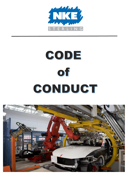

# CODE Of CONDUCT

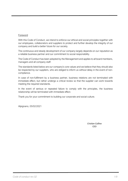#### Foreword

With this Code of Conduct, we intend to enforce our ethical and social principles together with our employees, collaborators and suppliers to protect and further develop the integrity of our company and build a better future for our society.

The continuous and steady development of our company largely depends on our reputation as a reliable business partner and our commitment to social responsibility.

The Code of Conduct has been adopted by the Management and applies to all board members, managers and all company staff.

The standards listed below are our company's core values and we believe that they should also be respected by our suppliers, who are obliged to inform us without delay in the event of noncompliance.

In case of non-fulfilment by a business partner, business relations are not terminated with immediate effect, but rather undergo a critical review so that the supplier can work towards meeting the required standards.

In the event of serious or repeated failure to comply with the principles, the business relationship will be terminated with immediate effect.

Thank you for your commitment to building our corporate and social culture.

Alpignano, 05/02/2021

*Cristian Cullino* CEO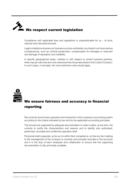

Compliance with applicable laws and regulations is unquestionable for us  $-$  at local, national and international levels.

Legal compliance ensures our business success worldwide; any breach can have serious consequences, such as criminal prosecution, compensation for damages or reduction and damage of reputation and credibility.

In specific geographical areas, markets or with respect to certain business partners, there may be rules that are more restrictive than those described in this Code of Conduct. In such cases, in principle, the more restrictive rules should apply.

## **We ensure fairness and accuracy in financial** reporting

We correctly record every operation and transaction in the company's accounting system according to the criteria indicated by law and by the applicable accounting principles.

The records are supported by adequate documentation in order to allow, at any time, the controls to certify the characteristics and reasons and to identify who authorised, performed, recorded and verified the operation itself.

Personnel shall cooperate, as far as it is within their competence, so that any fact relating to the management of the company is correctly and promptly recorded in the accounts and it is the duty of each employee and collaborator to ensure that the supporting documentation is tidy and easily available**.**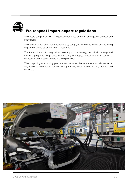## We respect import/export regulations

We ensure compliance with all regulations for cross-border trade in goods, services and information.

We manage export and import operations by complying with bans, restrictions, licensing requirements and other monitoring measures.

The transaction control regulations also apply to technology, technical drawings and software programs. Regardless of the entity of supply, transactions with people or companies on the sanction lists are also prohibited.

When importing or exporting products and services, the personnel must always report any doubts to the import/export control department, which must be actively informed and consulted.

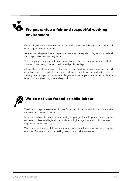

#### We guarantee a fair and respectful working environment

Our employees and collaborators work in an environment that is fair, equal and respectful of the dignity of each individual.

Salaries, including overtime and special allowances, are equal to or higher than the level set by applicable laws and regulations.

The company complies with applicable laws, collective bargaining and industry standards on working time, rest periods and public holidays.

All suppliers shall also ensure that wages and ancillary services are paid in full compliance with all applicable laws and that there is not labour subordination or false training relationships, to circumvent obligations towards personnel under applicable labour and social security laws and regulations.



We do not accept or tolerate any form of forced or child labour and do not contract with suppliers who use such labour.

No person subject to compulsory schooling or younger than 15 years of age may be employed, unless local legislation establishes a higher age limit and applicable laws or regulations permit an exception.

Workers under the age of 18 are not allowed to perform hazardous work and may be exempted from certain activities taking into account their training needs.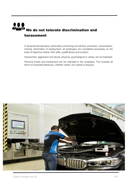### We do not tolerate discrimination and harassment

In all personnel decisions, particularly concerning recruitment, promotion, remuneration, training, termination of employment, all employees are considered exclusively on the basis of objective criteria: their skills, qualifications and conduct.

Harassment, aggression and abuse, physical, psychological or verbal, are not tolerated.

Personal insults and harassment are not tolerated in the workplace. This includes all forms of unwanted behaviour, whether verbal, non-verbal or physical.

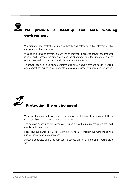### We provide a healthy and safe working environment

We promote and protect occupational health and safety as a key element of the sustainability of our success.

We ensure a safe and comfortable working environment in order to prevent occupational injuries and illnesses for employees and collaborators, with the important aim of promoting a culture of safety at work also among our partners.

To prevent accidents and injuries, workers must always have a safe and healthy working environment, the minimum requirements of which are defined by current local legislation.



We respect, protect and safeguard our environment by following the environmental laws and regulations of the country in which we operate.

The company's activities are conducted in such a way that natural resources are used as efficiently as possible.

Hazardous substances are used to a limited extent, in a conscientious manner and with minimal impact on the environment.

All waste generated during the activities is disposed of in an environmentally responsible way.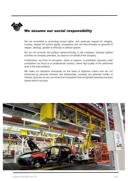

#### We assume our social responsibility

We are committed to promoting human rights, with particular respect for integrity, honesty, respect for human dignity, acceptance and non-discrimination on grounds of religion, ideology, gender or ethnicity or political opinion.

We do not promote the political opinion-forming in the company, banning political activities on company premises, by means or on behalf of the company.

Furthermore, any form of corruption, active or passive, is prohibited, because under competition our focus is on professional conduct, where high quality of the performed work is the only yardstick.

We make our decisions exclusively on the basis of objective criteria and are not influenced by personal interests and relationships, avoiding any potential conflict of interest, because we are convinced that transparent and recognised business practices always lead to success.

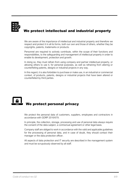

### We protect intellectual and industrial property

We are aware of the importance of intellectual and industrial property and therefore we respect and protect it in all its forms, both our own and those of others, whether they be copyrights, patents, trademarks or products.

Personnel are required to actively contribute, within the scope of their functions and responsibilities, to the safeguarding and management of intellectual property in order to enable its development, protection and growth.

In doing so, they must refrain from using company and partner intellectual property, or allowing others to use it, for personal purposes, as well as refraining from altering or counterfeiting patents, designs or industrial projects in any way.

In this regard, it is also forbidden to purchase or make use, in an industrial or commercial context, of products, patents, designs or industrial projects that have been altered or counterfeited by third parties.

### We protect personal privacy

We protect the personal data of customers, suppliers, employees and contractors in accordance with GDRP 2016/679.

In principle, the collection, storage, processing and use of personal data always require the consent of the data subject, a contractual agreement or other legal basis.

Company staff are obliged to work in accordance with the valid and applicable guidelines for the processing of personal data, and in case of doubt, they should contact their manager or the data protection officer.

All aspects of data protection and IT security are described in the management system and must be scrupulously observed by all staff.